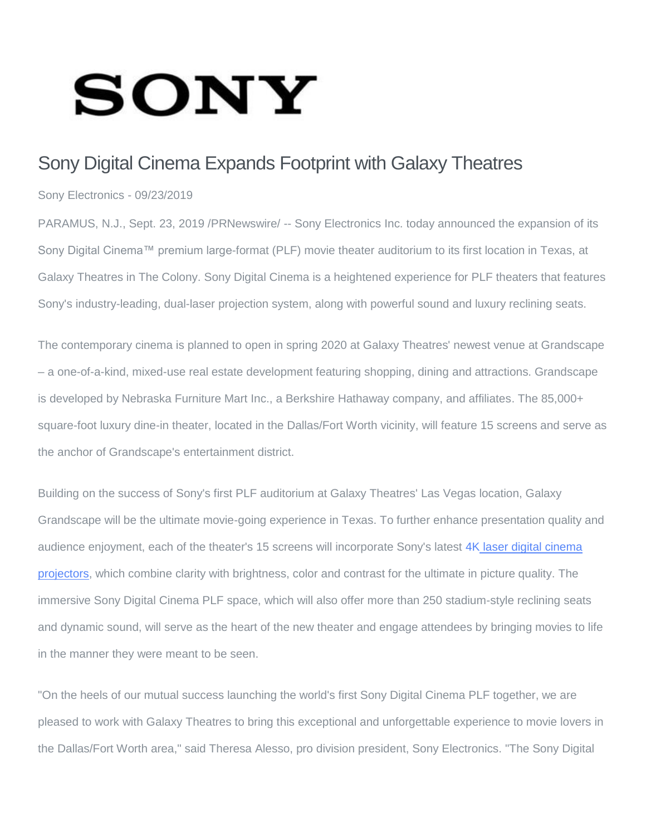## **SONY**

## Sony Digital Cinema Expands Footprint with Galaxy Theatres

Sony Electronics - 09/23/2019

PARAMUS, N.J., Sept. 23, 2019 /PRNewswire/ -- Sony Electronics Inc. today announced the expansion of its Sony Digital Cinema™ premium large-format (PLF) movie theater auditorium to its first location in Texas, at Galaxy Theatres in The Colony. Sony Digital Cinema is a heightened experience for PLF theaters that features Sony's industry-leading, dual-laser projection system, along with powerful sound and luxury reclining seats.

The contemporary cinema is planned to open in spring 2020 at Galaxy Theatres' newest venue at Grandscape – a one-of-a-kind, mixed-use real estate development featuring shopping, dining and attractions. Grandscape is developed by Nebraska Furniture Mart Inc., a Berkshire Hathaway company, and affiliates. The 85,000+ square-foot luxury dine-in theater, located in the Dallas/Fort Worth vicinity, will feature 15 screens and serve as the anchor of Grandscape's entertainment district.

Building on the success of Sony's first PLF auditorium at Galaxy Theatres' Las Vegas location, Galaxy Grandscape will be the ultimate movie-going experience in Texas. To further enhance presentation quality and audience enjoyment, each of the theater's 15 screens will incorporate Sony's latest 4K laser digital [cinema](https://c212.net/c/link/?t=0&l=en&o=2588056-1&h=2000570247&u=https%3A%2F%2Fpro.sony%2Fproducts%2F4k-digital-cinema-projection%2Fsrx-r815p&a=4K+laser+digital+cinema+projectors) [projectors,](https://c212.net/c/link/?t=0&l=en&o=2588056-1&h=2000570247&u=https%3A%2F%2Fpro.sony%2Fproducts%2F4k-digital-cinema-projection%2Fsrx-r815p&a=4K+laser+digital+cinema+projectors) which combine clarity with brightness, color and contrast for the ultimate in picture quality. The immersive Sony Digital Cinema PLF space, which will also offer more than 250 stadium-style reclining seats and dynamic sound, will serve as the heart of the new theater and engage attendees by bringing movies to life in the manner they were meant to be seen.

"On the heels of our mutual success launching the world's first Sony Digital Cinema PLF together, we are pleased to work with Galaxy Theatres to bring this exceptional and unforgettable experience to movie lovers in the Dallas/Fort Worth area," said Theresa Alesso, pro division president, Sony Electronics. "The Sony Digital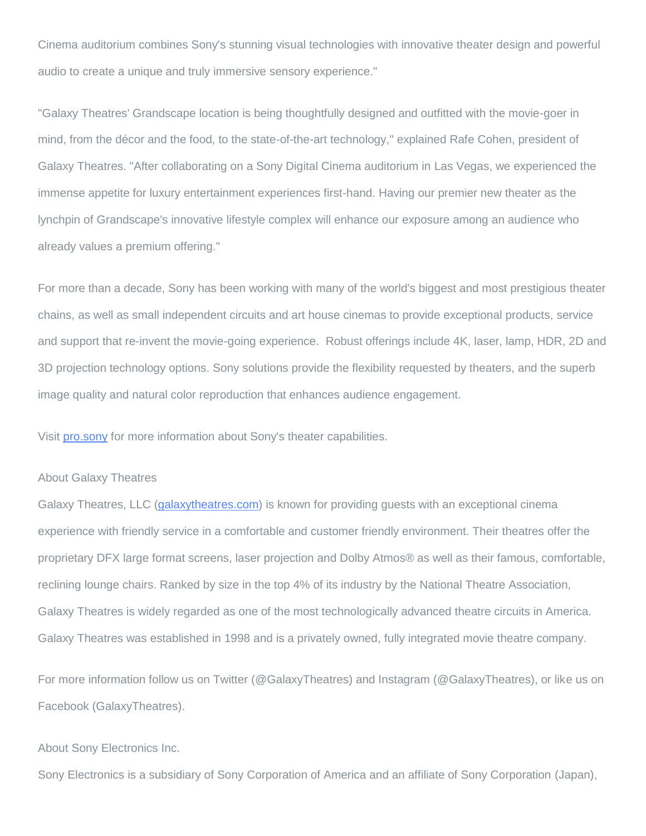Cinema auditorium combines Sony's stunning visual technologies with innovative theater design and powerful audio to create a unique and truly immersive sensory experience."

"Galaxy Theatres' Grandscape location is being thoughtfully designed and outfitted with the movie-goer in mind, from the décor and the food, to the state-of-the-art technology," explained Rafe Cohen, president of Galaxy Theatres. "After collaborating on a Sony Digital Cinema auditorium in Las Vegas, we experienced the immense appetite for luxury entertainment experiences first-hand. Having our premier new theater as the lynchpin of Grandscape's innovative lifestyle complex will enhance our exposure among an audience who already values a premium offering."

For more than a decade, Sony has been working with many of the world's biggest and most prestigious theater chains, as well as small independent circuits and art house cinemas to provide exceptional products, service and support that re-invent the movie-going experience. Robust offerings include 4K, laser, lamp, HDR, 2D and 3D projection technology options. Sony solutions provide the flexibility requested by theaters, and the superb image quality and natural color reproduction that enhances audience engagement.

Visit [pro.sony](https://c212.net/c/link/?t=0&l=en&o=2588056-1&h=3545925798&u=https%3A%2F%2Fpro.sony%2Fsolutions%2Fmovie-theatres&a=pro.sony) for more information about Sony's theater capabilities.

## About Galaxy Theatres

Galaxy Theatres, LLC [\(galaxytheatres.com\)](https://c212.net/c/link/?t=0&l=en&o=2588056-1&h=732950240&u=http%3A%2F%2Fwww.galaxytheatres.com%2F&a=galaxytheatres.com) is known for providing guests with an exceptional cinema experience with friendly service in a comfortable and customer friendly environment. Their theatres offer the proprietary DFX large format screens, laser projection and Dolby Atmos® as well as their famous, comfortable, reclining lounge chairs. Ranked by size in the top 4% of its industry by the National Theatre Association, Galaxy Theatres is widely regarded as one of the most technologically advanced theatre circuits in America. Galaxy Theatres was established in 1998 and is a privately owned, fully integrated movie theatre company.

For more information follow us on Twitter (@GalaxyTheatres) and Instagram (@GalaxyTheatres), or like us on Facebook (GalaxyTheatres).

## About Sony Electronics Inc.

Sony Electronics is a subsidiary of Sony Corporation of America and an affiliate of Sony Corporation (Japan),